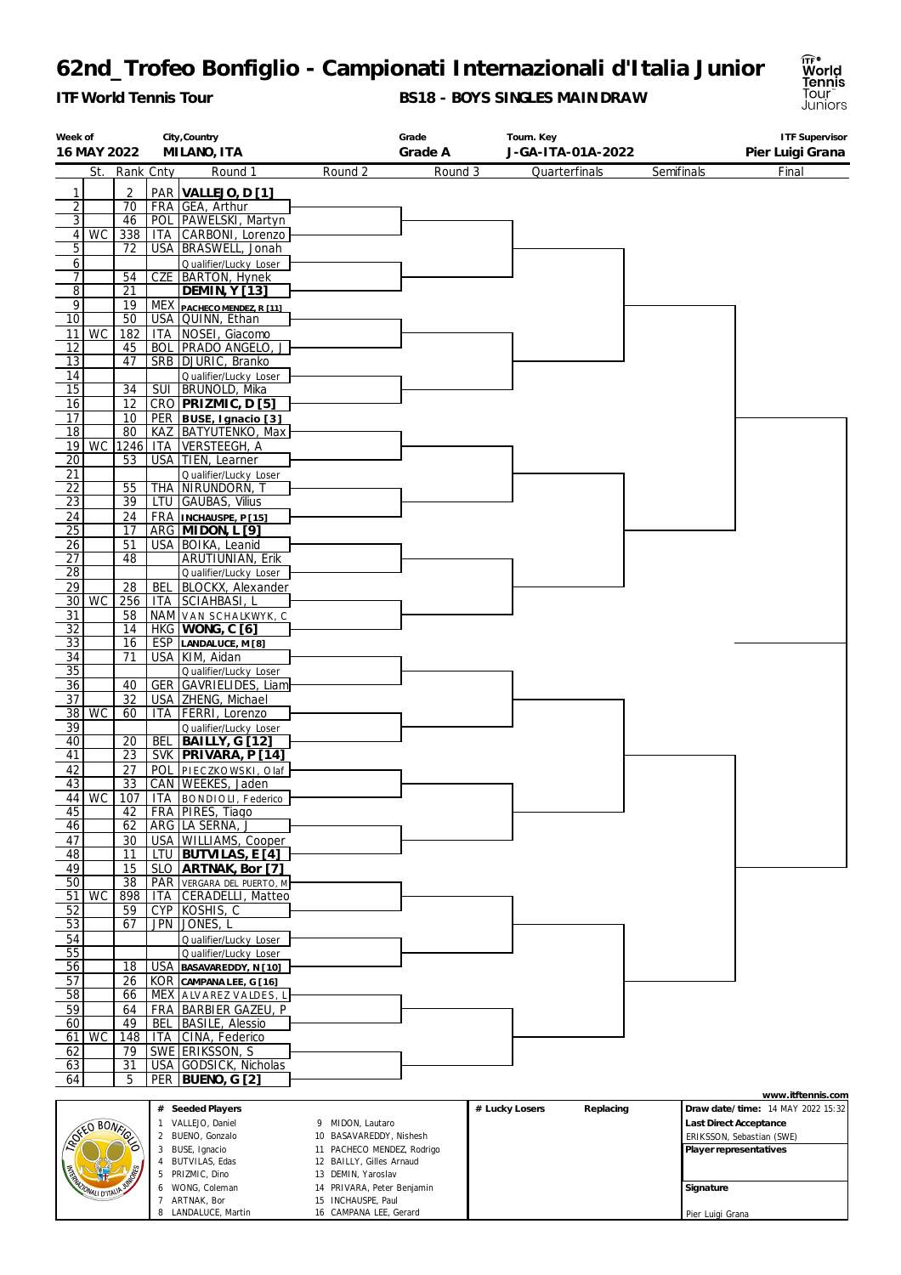*ITF World Tennis Tour*

LANDALUCE, Martin

CAMPANA LEE, Gerard

**BS18 - BOYS SINGLES MAINDRAW**



Pier Luigi Grana

| Week of         |                              |                 |                | City, Country                                  |                            | Grade   | Tourn. Key                  |            | <b>ITF Supervisor</b>             |
|-----------------|------------------------------|-----------------|----------------|------------------------------------------------|----------------------------|---------|-----------------------------|------------|-----------------------------------|
| 16 MAY 2022     |                              |                 |                | MILANO, ITA                                    |                            | Grade A | J-GA-ITA-01A-2022           |            | Pier Luigi Grana                  |
|                 | St.                          | Rank Cnty       |                | Round 1                                        | Round 2                    | Round 3 | Quarterfinals               | Semifinals | Final                             |
|                 |                              |                 |                |                                                |                            |         |                             |            |                                   |
| 1               |                              | 2               |                | PAR VALLEJO, D [1]                             |                            |         |                             |            |                                   |
| $\overline{2}$  |                              | 70              |                | FRA GEA, Arthur                                |                            |         |                             |            |                                   |
| $\overline{3}$  |                              | 46              |                | POL PAWELSKI, Martyn                           |                            |         |                             |            |                                   |
| 4               | WC                           | 338             |                | ITA CARBONI, Lorenzo                           |                            |         |                             |            |                                   |
| 5               |                              | 72              |                | USA   BRASWELL, Jonah                          |                            |         |                             |            |                                   |
| 6               |                              |                 |                | Qualifier/Lucky Loser                          |                            |         |                             |            |                                   |
| 7 <sup>1</sup>  |                              | 54              |                | CZE   BARTON, Hynek                            |                            |         |                             |            |                                   |
| $\overline{8}$  |                              | 21              |                | <b>DEMIN, Y [13]</b>                           |                            |         |                             |            |                                   |
| $\overline{9}$  |                              | 19              |                | MEX PACHECO MENDEZ, R [11]                     |                            |         |                             |            |                                   |
| $\overline{10}$ |                              | 50              |                | USA   QUINN, Ethan                             |                            |         |                             |            |                                   |
| 11              | WC                           | 182             | ITA            | NOSEI, Giacomo                                 |                            |         |                             |            |                                   |
| 12              |                              | 45              | <b>BOL</b>     | <b>PRADO ANGELO, J</b>                         |                            |         |                             |            |                                   |
| 13              |                              | 47              |                | SRB DJURIC, Branko                             |                            |         |                             |            |                                   |
| 14              |                              |                 |                | Qualifier/Lucky Loser                          |                            |         |                             |            |                                   |
| $\overline{15}$ |                              | $\overline{34}$ |                | SUI   BRUNOLD, Mika                            |                            |         |                             |            |                                   |
| 16              |                              | 12              |                | CRO PRIZMIC, D [5]                             |                            |         |                             |            |                                   |
| 17              |                              | 10              |                | PER BUSE, Ignacio [3]                          |                            |         |                             |            |                                   |
| 18              |                              | 80              |                | KAZ   BATYUTENKO, Max                          |                            |         |                             |            |                                   |
|                 | $19$ WC                      |                 |                | 1246 ITA VERSTEEGH, A                          |                            |         |                             |            |                                   |
| $\overline{20}$ |                              | 53              |                | USA   TIEN, Learner                            |                            |         |                             |            |                                   |
| 21              |                              |                 |                | Qualifier/Lucky Loser                          |                            |         |                             |            |                                   |
| $\overline{22}$ |                              | 55              | <b>THA</b>     | Nirundorn, T                                   |                            |         |                             |            |                                   |
| $\overline{23}$ |                              | 39              |                | LTU GAUBAS, Vilius                             |                            |         |                             |            |                                   |
| 24              |                              | 24              |                | FRA  INCHAUSPE, P [15]                         |                            |         |                             |            |                                   |
| 25              |                              | 17              |                | ARG MIDON, L [9]                               |                            |         |                             |            |                                   |
| 26              |                              | 51              |                | USA   BOIKA, Leanid                            |                            |         |                             |            |                                   |
| 27              |                              | 48              |                | ARUTIUNIAN, Erik                               |                            |         |                             |            |                                   |
| $\overline{28}$ |                              |                 |                | Qualifier/Lucky Loser                          |                            |         |                             |            |                                   |
| 29              |                              | 28              | BEL            | BLOCKX, Alexander                              |                            |         |                             |            |                                   |
|                 | $30$ WC                      | 256             | ITA            | SCIAHBASI, L                                   |                            |         |                             |            |                                   |
| 31              |                              | 58              |                | NAM VAN SCHALKWYK, C                           |                            |         |                             |            |                                   |
| 32              |                              | 14              |                | HKG WONG, C [6]                                |                            |         |                             |            |                                   |
| 33              |                              | 16              |                | ESP LANDALUCE, M [8]                           |                            |         |                             |            |                                   |
| 34              |                              | 71              |                | USA   KIM, Aidan                               |                            |         |                             |            |                                   |
| $\overline{35}$ |                              |                 |                | Qualifier/Lucky Loser                          |                            |         |                             |            |                                   |
| 36              |                              | 40              |                | GER GAVRIELIDES, Liam                          |                            |         |                             |            |                                   |
| $\overline{37}$ |                              | 32              |                | USA   ZHENG, Michael                           |                            |         |                             |            |                                   |
| 38              | <b>WC</b>                    | 60              | <b>ITA</b>     | <b>FERRI</b> , Lorenzo                         |                            |         |                             |            |                                   |
|                 |                              |                 |                |                                                |                            |         |                             |            |                                   |
| 39<br>40        |                              | 20              | <b>BEL</b>     | Qualifier/Lucky Loser<br><b>BAILLY, G [12]</b> |                            |         |                             |            |                                   |
| 41              |                              | 23              |                | SVK   PRIVARA, P [14]                          |                            |         |                             |            |                                   |
|                 |                              |                 |                |                                                |                            |         |                             |            |                                   |
| 42<br>43        |                              | 27              | <b>POL</b>     | PIECZKOWSKI, Olaf                              |                            |         |                             |            |                                   |
|                 |                              | 33              |                | CAN   WEEKES, Jaden                            |                            |         |                             |            |                                   |
|                 | 44 WC                        | 107             |                | ITA   BONDIOLI, Federico                       |                            |         |                             |            |                                   |
| 45              |                              | 42              |                | FRA PIRES, Tiago                               |                            |         |                             |            |                                   |
| 46              |                              | 62              |                | ARG   LA SERNA, J                              |                            |         |                             |            |                                   |
| 47              |                              | 30              |                | USA WILLIAMS, Cooper                           |                            |         |                             |            |                                   |
| 48              |                              | 11              | LTU            | <b>BUTVILAS, E [4]</b>                         |                            |         |                             |            |                                   |
| 49              |                              | 15              |                | SLO ARTNAK, Bor [7]                            |                            |         |                             |            |                                   |
| 50              |                              | $\overline{38}$ | PAR            | VERGARA DEL PUERTO, M                          |                            |         |                             |            |                                   |
| 51              | WC                           | 898             | ITA            | CERADELLI, Matteo                              |                            |         |                             |            |                                   |
| 52              |                              | 59              | <b>CYP</b>     | KOSHIS, C                                      |                            |         |                             |            |                                   |
| 53              |                              | 67              | <b>JPN</b>     | JONES, L                                       |                            |         |                             |            |                                   |
| 54              |                              |                 |                | Qualifier/Lucky Loser                          |                            |         |                             |            |                                   |
| 55              |                              |                 |                | Qualifier/Lucky Loser                          |                            |         |                             |            |                                   |
| 56              |                              | 18              | <b>USA</b>     | BASAVAREDDY, N [10]                            |                            |         |                             |            |                                   |
| 57              |                              | 26              |                | KOR CAMPANA LEE, G [16]                        |                            |         |                             |            |                                   |
| 58              |                              | 66              |                | MEX ALVAREZ VALDES, L                          |                            |         |                             |            |                                   |
| 59              |                              | 64              |                | FRA   BARBIER GAZEU, P                         |                            |         |                             |            |                                   |
| 60              |                              | 49              | BEL            | <b>BASILE, Alessio</b>                         |                            |         |                             |            |                                   |
| 61 I            | <b>WC</b>                    | 148             | ITA            | CINA, Federico                                 |                            |         |                             |            |                                   |
| 62              |                              | 79              |                | SWE ERIKSSON, S                                |                            |         |                             |            |                                   |
| 63              |                              | 31              |                | USA GODSICK, Nicholas                          |                            |         |                             |            |                                   |
| 64              |                              | 5               | PER            | BUENO, G [2]                                   |                            |         |                             |            |                                   |
|                 |                              |                 |                |                                                |                            |         |                             |            | www.itftennis.com                 |
|                 |                              |                 |                | # Seeded Players                               |                            |         | # Lucky Losers<br>Replacing |            | Draw date/time: 14 MAY 2022 15:32 |
|                 | EO BONFIG                    |                 |                | VALLEJO, Daniel                                | 9 MIDON, Lautaro           |         |                             |            | Last Direct Acceptance            |
|                 |                              |                 |                | 2 BUENO, Gonzalo                               | 10 BASAVAREDDY, Nishesh    |         |                             |            | ERIKSSON, Sebastian (SWE)         |
|                 |                              |                 |                | 3 BUSE, Ignacio                                | 11 PACHECO MENDEZ, Rodrigo |         |                             |            | Player representatives            |
|                 |                              |                 |                | <b>BUTVILAS, Edas</b>                          | 12 BAILLY, Gilles Arnaud   |         |                             |            |                                   |
|                 |                              |                 | 5              | PRIZMIC, Dino                                  | 13 DEMIN, Yaroslav         |         |                             |            |                                   |
|                 | <b><i>ONALI D'ITALIA</i></b> |                 | 6              | WONG, Coleman                                  | 14 PRIVARA, Peter Benjamin |         |                             | Signature  |                                   |
|                 |                              |                 | $\overline{7}$ | ARTNAK, Bor                                    | 15 INCHAUSPE, Paul         |         |                             |            |                                   |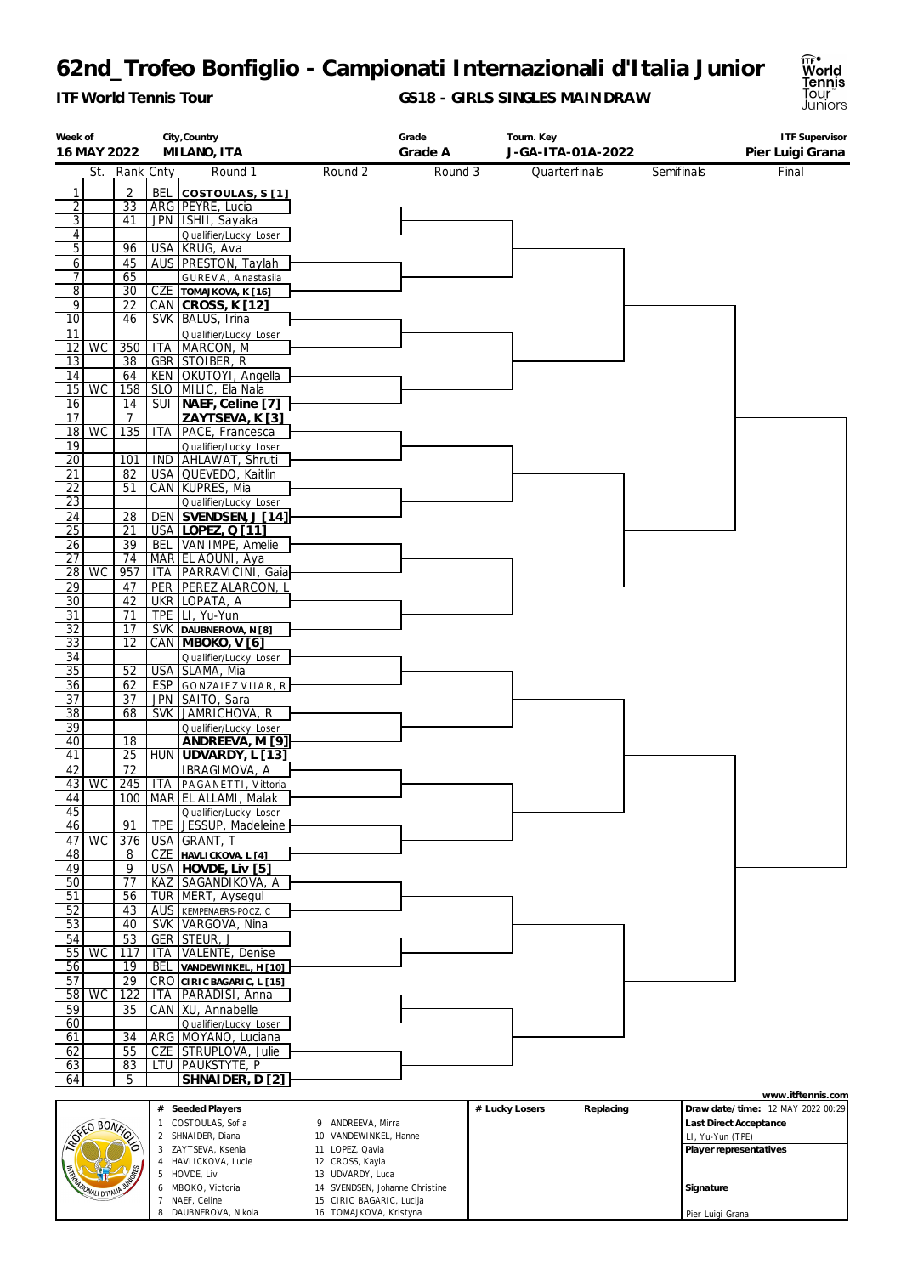*ITF World Tennis Tour*

 $\mathbf{I}$ 

**GS18 - GIRLS SINGLES MAINDRAW**



| Week of               |                      |                 |                | City, Country                                       |                                                    | Grade   |                | Tourn. Key        |                  | <b>ITF Supervisor</b>                                  |
|-----------------------|----------------------|-----------------|----------------|-----------------------------------------------------|----------------------------------------------------|---------|----------------|-------------------|------------------|--------------------------------------------------------|
|                       | 16 MAY 2022          |                 |                | MILANO, ITA                                         |                                                    | Grade A |                | J-GA-ITA-01A-2022 |                  | Pier Luigi Grana                                       |
|                       | St.                  | Rank Cnty       |                | Round 1                                             | Round 2                                            | Round 3 |                | Quarterfinals     | Semifinals       | Final                                                  |
| 1                     |                      | 2               |                | BEL   COSTOULAS, S[1]                               |                                                    |         |                |                   |                  |                                                        |
| $\overline{2}$        |                      | $\overline{33}$ |                | ARG   PEYRE, Lucia                                  |                                                    |         |                |                   |                  |                                                        |
| 3 <sup>1</sup>        |                      | 41              |                | JPN   ISHII, Sayaka                                 |                                                    |         |                |                   |                  |                                                        |
| 4                     |                      |                 |                | Qualifier/Lucky Loser                               |                                                    |         |                |                   |                  |                                                        |
| 5 <sup>1</sup>        |                      | 96              |                | USA KRUG, Ava                                       |                                                    |         |                |                   |                  |                                                        |
| 6<br>7 <sup>1</sup>   |                      | 45<br>65        |                | AUS PRESTON, Taylah                                 |                                                    |         |                |                   |                  |                                                        |
| $\overline{8}$        |                      | 30              |                | GUREVA, Anastasila<br>CZE TOMAJKOVA, K [16]         |                                                    |         |                |                   |                  |                                                        |
| $\overline{9}$        |                      | 22              |                | CAN CROSS, K [12]                                   |                                                    |         |                |                   |                  |                                                        |
| 10                    |                      | 46              |                | SVK   BALUS, Irina                                  |                                                    |         |                |                   |                  |                                                        |
| 11                    |                      |                 |                | Qualifier/Lucky Loser                               |                                                    |         |                |                   |                  |                                                        |
|                       | $12$ WC              | 350             |                | ITA   MARCON, M                                     |                                                    |         |                |                   |                  |                                                        |
| 13                    |                      | 38              |                | <b>GBR STOIBER, R</b>                               |                                                    |         |                |                   |                  |                                                        |
| 14                    | $15$ WC              | 64              |                | KEN OKUTOYI, Angella<br>158   SLO   MILIC, Ela Nala |                                                    |         |                |                   |                  |                                                        |
| 16                    |                      | 14              |                | SUI   NAEF, Celine [7]                              |                                                    |         |                |                   |                  |                                                        |
| 17                    |                      | $\overline{7}$  |                | ZAYTSEVA, K [3]                                     |                                                    |         |                |                   |                  |                                                        |
|                       | $18$ WC              | 135             | ITA.           | PACE, Francesca                                     |                                                    |         |                |                   |                  |                                                        |
| 19                    |                      |                 |                | Qualifier/Lucky Loser                               |                                                    |         |                |                   |                  |                                                        |
| $\overline{20}$       |                      | 101             |                | IND AHLAWAT, Shruti                                 |                                                    |         |                |                   |                  |                                                        |
| 21                    |                      | 82              |                | USA QUEVEDO, Kaitlin                                |                                                    |         |                |                   |                  |                                                        |
| 22                    |                      | 51              |                | CAN KUPRES, Mia                                     |                                                    |         |                |                   |                  |                                                        |
| <u>23</u><br>24       |                      | 28              |                | Qualifier/Lucky Loser<br>DEN SVENDSEN, J [14]       |                                                    |         |                |                   |                  |                                                        |
| 25                    |                      | 21              |                | USA LOPEZ, Q [11]                                   |                                                    |         |                |                   |                  |                                                        |
| 26                    |                      | 39              |                | BEL VAN IMPE, Amelie                                |                                                    |         |                |                   |                  |                                                        |
| 27                    |                      | 74              |                | MAR EL AOUNI, Aya                                   |                                                    |         |                |                   |                  |                                                        |
| 28                    | <b>WC</b>            | 957             |                | ITA   PARRAVICINI, Gaia                             |                                                    |         |                |                   |                  |                                                        |
| 29                    |                      | 47              |                | PER PEREZ ALARCON, L                                |                                                    |         |                |                   |                  |                                                        |
| 30                    |                      | 42              |                | UKR LOPATA, A                                       |                                                    |         |                |                   |                  |                                                        |
| 31                    |                      | 71              |                | TPE LI, Yu-Yun                                      |                                                    |         |                |                   |                  |                                                        |
| $\overline{32}$       |                      | 17              |                | SVK DAUBNEROVA, N [8]                               |                                                    |         |                |                   |                  |                                                        |
| 33                    |                      | 12              |                | CAN MBOKO, V [6]                                    |                                                    |         |                |                   |                  |                                                        |
| 34<br>$\overline{35}$ |                      | 52              |                | Qualifier/Lucky Loser<br>USA SLAMA, Mia             |                                                    |         |                |                   |                  |                                                        |
| 36                    |                      | 62              |                | ESP GONZALEZ VILAR, R                               |                                                    |         |                |                   |                  |                                                        |
| $\overline{37}$       |                      | 37              |                | JPN SAITO, Sara                                     |                                                    |         |                |                   |                  |                                                        |
| $\overline{38}$       |                      | 68              |                | SVK JAMRICHOVA, R                                   |                                                    |         |                |                   |                  |                                                        |
| 39                    |                      |                 |                | Qualifier/Lucky Loser                               |                                                    |         |                |                   |                  |                                                        |
| 40                    |                      | 18              |                | ANDREEVA, M [9]                                     |                                                    |         |                |                   |                  |                                                        |
| 41                    |                      | 25              |                | HUN UDVARDY, L [13]                                 |                                                    |         |                |                   |                  |                                                        |
| 42                    | 43   WC              | 72              |                | IBRAGIMOVA, A<br>245   ITA   PAGANETTI, Vittoria    |                                                    |         |                |                   |                  |                                                        |
| 44                    |                      |                 |                | 100   MAR   EL ALLAMI, Malak                        |                                                    |         |                |                   |                  |                                                        |
| 45                    |                      |                 |                | Qualifier/Lucky Loser                               |                                                    |         |                |                   |                  |                                                        |
| 46                    |                      | 91              | TPE            | JESSUP, Madeleine                                   |                                                    |         |                |                   |                  |                                                        |
| 47                    | <b>WC</b>            | 376             |                | USA GRANT, T                                        |                                                    |         |                |                   |                  |                                                        |
| 48                    |                      | 8               |                | CZE HAVLICKOVA, L [4]                               |                                                    |         |                |                   |                  |                                                        |
| 49                    |                      | 9               |                | USA HOVDE, Liv [5]                                  |                                                    |         |                |                   |                  |                                                        |
| 50                    |                      | $\overline{77}$ |                | KAZ SAGANDIKOVA, A                                  |                                                    |         |                |                   |                  |                                                        |
| 51                    |                      | 56              |                | TUR   MERT, Aysegul                                 |                                                    |         |                |                   |                  |                                                        |
| 52                    |                      | 43<br>40        | AUS            | KEMPENAERS-POCZ, C<br>SVK VARGOVA, Nina             |                                                    |         |                |                   |                  |                                                        |
| 53<br>54              |                      | 53              |                |                                                     |                                                    |         |                |                   |                  |                                                        |
|                       | 55 WC                | 117             | <b>ITA</b>     | GER STEUR, J<br>VALENTE, Denise                     |                                                    |         |                |                   |                  |                                                        |
| 56                    |                      | 19              | <b>BEL</b>     | VANDEWINKEL, H [10]                                 |                                                    |         |                |                   |                  |                                                        |
| 57                    |                      | 29              |                | CRO CIRIC BAGARIC, L [15]                           |                                                    |         |                |                   |                  |                                                        |
| 58                    | WC                   | 122             | <b>ITA</b>     | PARADISI, Anna                                      |                                                    |         |                |                   |                  |                                                        |
| 59                    |                      | 35              |                | CAN   XU, Annabelle                                 |                                                    |         |                |                   |                  |                                                        |
| 60                    |                      |                 |                | Qualifier/Lucky Loser                               |                                                    |         |                |                   |                  |                                                        |
| 61                    |                      | 34              |                | ARG MOYANO, Luciana                                 |                                                    |         |                |                   |                  |                                                        |
| 62                    |                      | 55              | CZE            | STRUPLOVA, Julie                                    |                                                    |         |                |                   |                  |                                                        |
| 63                    |                      | 83              | LTU            | <b>PAUKSTYTE, P</b>                                 |                                                    |         |                |                   |                  |                                                        |
| 64                    |                      | 5               |                | SHNAIDER, D [2]                                     |                                                    |         |                |                   |                  |                                                        |
|                       |                      |                 |                | # Seeded Players                                    |                                                    |         | # Lucky Losers | Replacing         |                  | www.itftennis.com<br>Draw date/time: 12 MAY 2022 00:29 |
|                       |                      |                 |                | COSTOULAS, Sofia                                    | 9 ANDREEVA, Mirra                                  |         |                |                   |                  | Last Direct Acceptance                                 |
|                       | <b>SEED BONFI</b>    |                 | 2              | SHNAIDER, Diana                                     | 10 VANDEWINKEL, Hanne                              |         |                |                   |                  | LI, Yu-Yun (TPE)                                       |
|                       |                      |                 |                | 3 ZAYTSEVA, Ksenia                                  | 11 LOPEZ, Qavia                                    |         |                |                   |                  | Player representatives                                 |
|                       |                      |                 | 4              | HAVLICKOVA, Lucie                                   | 12 CROSS, Kayla                                    |         |                |                   |                  |                                                        |
|                       |                      |                 | 5<br>6         | HOVDE, Liv<br>MBOKO, Victoria                       | 13 UDVARDY, Luca<br>14 SVENDSEN, Johanne Christine |         |                |                   | Signature        |                                                        |
|                       | <b>MALI D'ITALIP</b> |                 | $\overline{7}$ | NAEF, Celine                                        | 15 CIRIC BAGARIC, Lucija                           |         |                |                   |                  |                                                        |
|                       |                      |                 |                | 8 DAUBNEROVA, Nikola                                | 16 TOMAJKOVA, Kristyna                             |         |                |                   | Pier Luigi Grana |                                                        |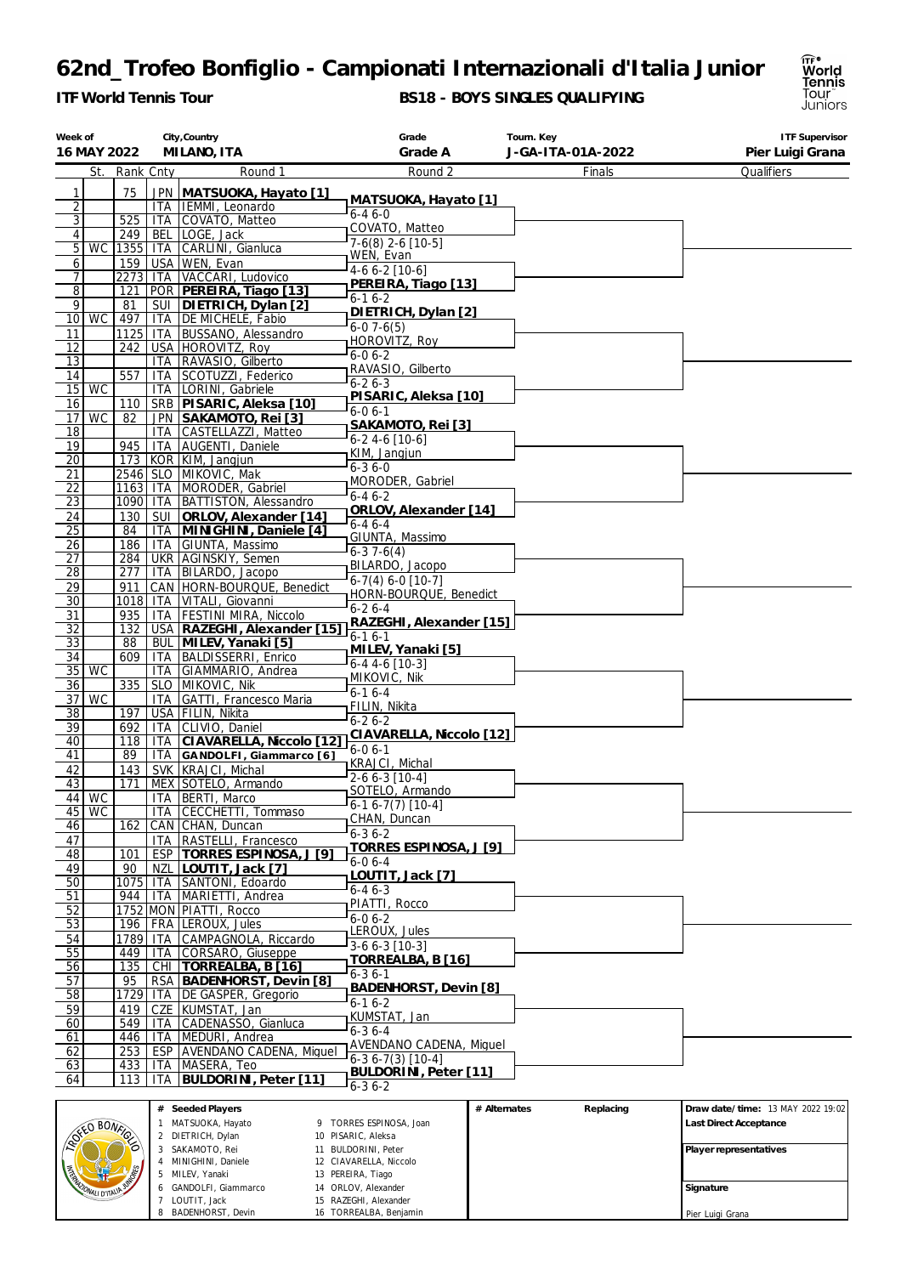*ITF World Tennis Tour*

 MINIGHINI, Daniele MILEV, Yanaki GANDOLFI, Giammarco LOUTIT, Jack 8 BADENHORST, Devin

MALI D'ITALIA

 BULDORINI, Peter CIAVARELLA, Niccolo 13 PEREIRA, Tiago ORLOV, Alexander RAZEGHI, Alexander TORREALBA, Benjamin

#### **BS18 - BOYS SINGLES QUALIFYING**



**Signature** Pier Luigi Grana

| Week of                          | 16 MAY 2022                      |            |                          | City, Country<br>MILANO, ITA                 | Grade<br>Grade A                               | Tourn. Key<br>J-GA-ITA-01A-2022 | <b>ITF Supervisor</b><br>Pier Luigi Grana                   |  |  |
|----------------------------------|----------------------------------|------------|--------------------------|----------------------------------------------|------------------------------------------------|---------------------------------|-------------------------------------------------------------|--|--|
|                                  |                                  |            |                          |                                              |                                                |                                 |                                                             |  |  |
|                                  | St.                              | Rank Cnty  |                          | Round 1                                      | Round 2                                        | Finals                          | Qualifiers                                                  |  |  |
| 1                                |                                  | 75         |                          | JPN MATSUOKA, Hayato [1]                     | MATSUOKA, Hayato [1]                           |                                 |                                                             |  |  |
| $\overline{2}$                   |                                  |            |                          | ITA IEMMI, Leonardo                          | $6 - 46 - 0$                                   |                                 |                                                             |  |  |
| $\overline{3}$<br>$\overline{4}$ |                                  | 525<br>249 |                          | ITA COVATO, Matteo<br>BEL LOGE, Jack         | COVATO, Matteo                                 |                                 |                                                             |  |  |
| 5                                | WC                               | 1355 ITA   |                          | CARLINI, Gianluca                            | $7-6(8)$ 2-6 [10-5]                            |                                 |                                                             |  |  |
| 6                                |                                  | 159        | <b>USA</b>               | WEN, Evan                                    | WEN, Evan                                      |                                 |                                                             |  |  |
| 7                                |                                  | 2273 ITA   |                          | VACCARI, Ludovico                            | 4-6 6-2 [10-6]                                 |                                 |                                                             |  |  |
| 8                                |                                  | 121        |                          | POR PEREIRA, Tiago [13]                      | PEREIRA, Tiago [13]                            |                                 |                                                             |  |  |
| 9                                |                                  | 81         |                          | SUI   DIETRICH, Dylan [2]                    | $6 - 16 - 2$<br>DIETRICH, Dylan [2]            |                                 |                                                             |  |  |
| 10 <sub>l</sub>                  | <b>WC</b>                        | 497        |                          | ITA DE MICHELE, Fabio                        | $6-07-6(5)$                                    |                                 |                                                             |  |  |
| 11                               |                                  | $1125$ ITA |                          | <b>BUSSANO, Alessandro</b>                   | HOROVITZ, Roy                                  |                                 |                                                             |  |  |
| 12                               |                                  | 242        |                          | USA HOROVITZ, Roy                            | $6 - 06 - 2$                                   |                                 |                                                             |  |  |
| 13                               |                                  | 557        | <b>ITA</b>               | RAVASIO, Gilberto                            | RAVASIO, Gilberto                              |                                 |                                                             |  |  |
| 14<br>15                         | <b>WC</b>                        |            | <b>ITA</b><br><b>ITA</b> | SCOTUZZI, Federico<br>LORINI, Gabriele       | $6 - 26 - 3$                                   |                                 |                                                             |  |  |
| 16                               |                                  | 110        |                          | SRB PISARIC, Aleksa [10]                     | PISARIC, Aleksa [10]                           |                                 |                                                             |  |  |
| 17                               | <b>WC</b>                        | 82         |                          | JPN SAKAMOTO, Rei [3]                        | $6 - 06 - 1$                                   |                                 |                                                             |  |  |
| 18                               |                                  |            | ITA.                     | CASTELLAZZI, Matteo                          | SAKAMOTO, Rei [3]                              |                                 |                                                             |  |  |
| 19                               |                                  | 945        |                          | ITA AUGENTI, Daniele                         | $6 - 24 - 6[10 - 6]$                           |                                 |                                                             |  |  |
| 20                               |                                  |            |                          | 173   KOR   KIM, Jangjun                     | KIM, Jangjun<br>$6 - 36 - 0$                   |                                 |                                                             |  |  |
| 21                               |                                  |            |                          | 2546   SLO   MIKOVIC, Mak                    | MORODER, Gabriel                               |                                 |                                                             |  |  |
| 22                               |                                  |            |                          | 1163   ITA   MORODER, Gabriel                | $6 - 46 - 2$                                   |                                 |                                                             |  |  |
| <u>23</u>                        |                                  | 1090   ITA |                          | <b>BATTISTON, Alessandro</b>                 | ORLOV, Alexander [14]                          |                                 |                                                             |  |  |
| 24                               |                                  | 130<br>84  | SUI                      | ORLOV, Alexander [14]                        | $6 - 46 - 4$                                   |                                 |                                                             |  |  |
| 25<br>26                         |                                  | 186        | ITA<br><b>ITA</b>        | MINIGHINI, Daniele [4]<br>GIUNTA, Massimo    | GIUNTA, Massimo                                |                                 |                                                             |  |  |
| 27                               |                                  | 284        |                          | UKR   AGINSKIY, Semen                        | $6-37-6(4)$                                    |                                 |                                                             |  |  |
| 28                               |                                  | 277        | ITA                      | BILARDO, Jacopo                              | BILARDO, Jacopo                                |                                 |                                                             |  |  |
| 29                               |                                  | 911        |                          | CAN   HORN-BOURQUE, Benedict                 | $6-7(4) 6-0$ [10-7]                            |                                 |                                                             |  |  |
| 30                               |                                  |            |                          | 1018   ITA   VITALI, Giovanni                | HORN-BOURQUE, Benedict<br>$6 - 26 - 4$         |                                 |                                                             |  |  |
| 31                               |                                  | 935        | ITA                      | <b>FESTINI MIRA, Niccolo</b>                 | RAZEGHI, Alexander [15]                        |                                 |                                                             |  |  |
| 32                               |                                  | 132        |                          | USA   RAZEGHI, Alexander [15]                | $6 - 16 - 1$                                   |                                 |                                                             |  |  |
| <u>33</u>                        |                                  | 88         | <b>BUL</b>               | MILEV, Yanaki [5]                            | MILEV, Yanaki [5]                              |                                 |                                                             |  |  |
| 34                               | <b>WC</b>                        | 609        | <b>ITA</b><br><b>ITA</b> | <b>BALDISSERRI, Enrico</b>                   | $6 - 4$ 4 - 6 [10 - 3]                         |                                 |                                                             |  |  |
| 35<br>36                         |                                  | 335        | <b>SLO</b>               | GIAMMARIO, Andrea<br>MIKOVIC, Nik            | MIKOVIC, Nik                                   |                                 |                                                             |  |  |
| 37                               | <b>WC</b>                        |            | <b>ITA</b>               | GATTI, Francesco Maria                       | $6 - 16 - 4$                                   |                                 |                                                             |  |  |
| 38                               |                                  | 197        |                          | USA FILIN, Nikita                            | FILIN, Nikita                                  |                                 |                                                             |  |  |
| 39                               |                                  | 692        | ITA                      | CLIVIO, Daniel                               | $6 - 26 - 2$                                   |                                 |                                                             |  |  |
| 40                               |                                  | 118        | ITA                      | CIAVARELLA, Niccolo [12]                     | CIAVARELLA, Niccolo [12]<br>$6 - 06 - 1$       |                                 |                                                             |  |  |
| 41                               |                                  | 89         | ITA                      | GANDOLFI, Giammarco [6]                      | <b>KRAJCI, Michal</b>                          |                                 |                                                             |  |  |
| 42                               |                                  | 143        |                          | SVK KRAJCI, Michal                           | $2-66-3$ [10-4]                                |                                 |                                                             |  |  |
| 43                               |                                  | 171        |                          | MEX SOTELO, Armando                          | SOTELO, Armando                                |                                 |                                                             |  |  |
|                                  | 44   WC<br>$45$ WC               |            |                          | ITA   BERTI, Marco<br>ITA CECCHETTI, Tommaso | $6-16-7(7)$ [10-4]                             |                                 |                                                             |  |  |
| 46                               |                                  | 162        |                          | CAN CHAN, Duncan                             | CHAN, Duncan                                   |                                 |                                                             |  |  |
| 47                               |                                  |            | ITA.                     | RASTELLI, Francesco                          | $6 - 36 - 2$                                   |                                 |                                                             |  |  |
| 48                               |                                  | 101        |                          | ESP   TORRES ESPINOSA, J [9]                 | TORRES ESPINOSA, J [9]                         |                                 |                                                             |  |  |
| 49                               |                                  | 90         | NZL                      | LOUTIT, Jack [7]                             | $6-06-4$                                       |                                 |                                                             |  |  |
| 50                               |                                  |            |                          | 1075   ITA SANTONI, Edoardo                  | LOUTIT, Jack [7]<br>$6 - 46 - 3$               |                                 |                                                             |  |  |
| 51                               |                                  | 944        | ITA                      | MARIETTI, Andrea                             | PIATTI, Rocco                                  |                                 |                                                             |  |  |
| 52                               |                                  |            |                          | 1752 MON PIATTI, Rocco                       | $6 - 06 - 2$                                   |                                 |                                                             |  |  |
| 53                               |                                  | 196        |                          | FRA LEROUX, Jules                            | LEROUX, Jules                                  |                                 |                                                             |  |  |
| 54                               |                                  | 1789       | <b>ITA</b>               | CAMPAGNOLA, Riccardo                         | 3-6 6-3 [10-3]                                 |                                 |                                                             |  |  |
| 55<br>56                         |                                  | 449<br>135 | <b>ITA</b>               | CORSARO, Giuseppe<br>CHI   TORREALBA, B [16] | TORREALBA, B [16]                              |                                 |                                                             |  |  |
| 57                               |                                  | 95         |                          | RSA   BADENHORST, Devin [8]                  | $6 - 36 - 1$                                   |                                 |                                                             |  |  |
| 58                               |                                  |            |                          | 1729   ITA   DE GASPER, Gregorio             | BADENHORST, Devin [8]                          |                                 |                                                             |  |  |
| 59                               |                                  | 419        |                          | CZE KUMSTAT, Jan                             | $6 - 16 - 2$                                   |                                 |                                                             |  |  |
| 60                               |                                  | 549        | ITA                      | CADENASSO, Gianluca                          | KUMSTAT, Jan                                   |                                 |                                                             |  |  |
| 61                               |                                  | 446        | ITA                      | MEDURI, Andrea                               | $6 - 36 - 4$<br><b>AVENDANO CADENA, Miquel</b> |                                 |                                                             |  |  |
| 62                               |                                  | 253        |                          | ESP   AVENDANO CADENA, Miquel                | $6-36-7(3)$ [10-4]                             |                                 |                                                             |  |  |
| 63                               |                                  | 433        |                          | ITA   MASERA, Teo                            | <b>BULDORINI, Peter [11]</b>                   |                                 |                                                             |  |  |
| 64                               |                                  | 113        | <b>ITA</b>               | BULDORINI, Peter [11]                        | $6 - 36 - 2$                                   |                                 |                                                             |  |  |
|                                  | # Seeded Players<br># Alternates |            |                          |                                              |                                                |                                 |                                                             |  |  |
|                                  |                                  |            |                          | 1 MATSUOKA, Hayato                           | 9 TORRES ESPINOSA, Joan                        | Replacing                       | Draw date/time: 13 MAY 2022 19:02<br>Last Direct Acceptance |  |  |
|                                  | ROXED BONFICE                    |            |                          | 2 DIETRICH, Dylan                            | 10 PISARIC, Aleksa                             |                                 |                                                             |  |  |
|                                  |                                  |            |                          | 3 SAKAMOTO, Rei                              | 11 BULDORINI, Peter                            |                                 | Player representatives                                      |  |  |